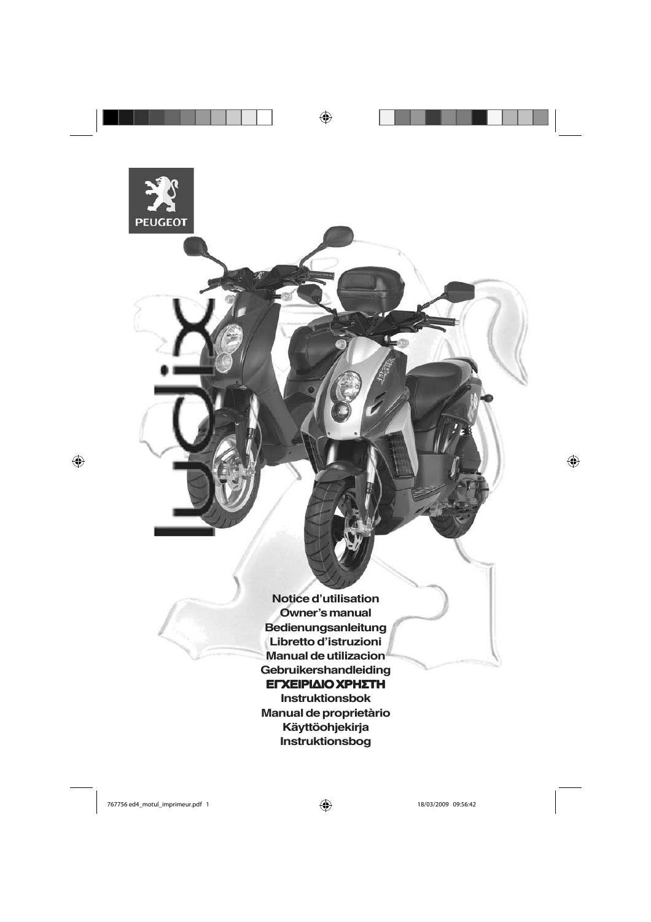

Notice d'utilisation Owner's manual Bedienungsanleitung Libretto d'istruzioni Manual de utilizacion Gebruikershandleiding ΕΓΧΕΙΡΙΔΙΟ ΧΡΗΣΤΗ **Instruktionsbok** 

Manual de proprietàrio Käyttöohjekirja Instruktionsbog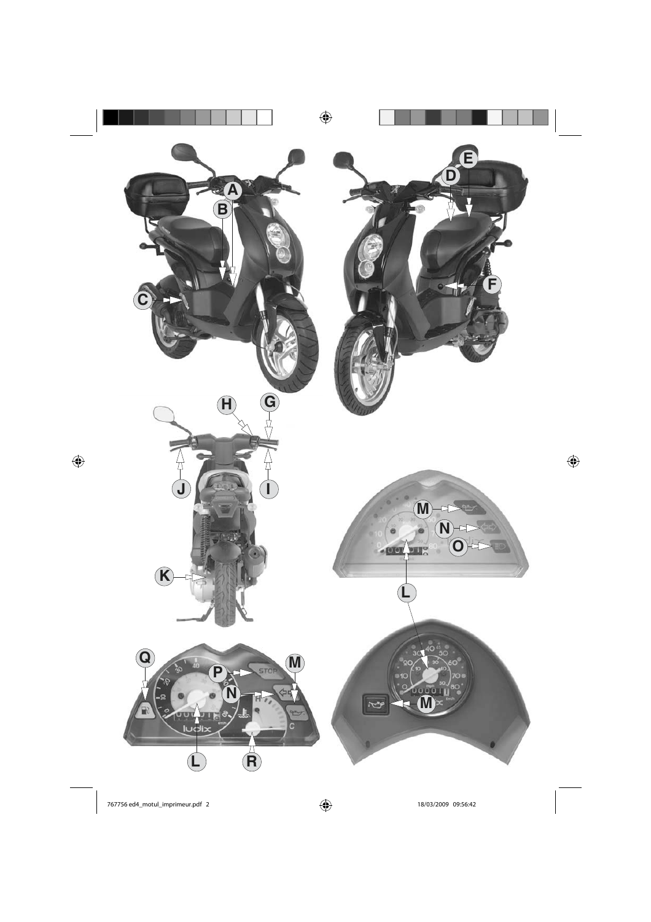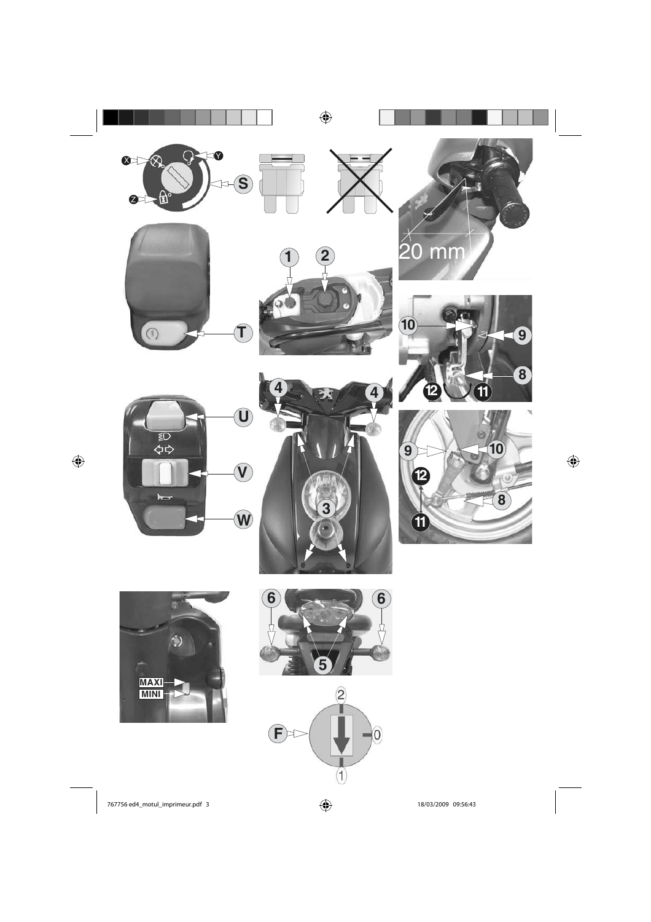





















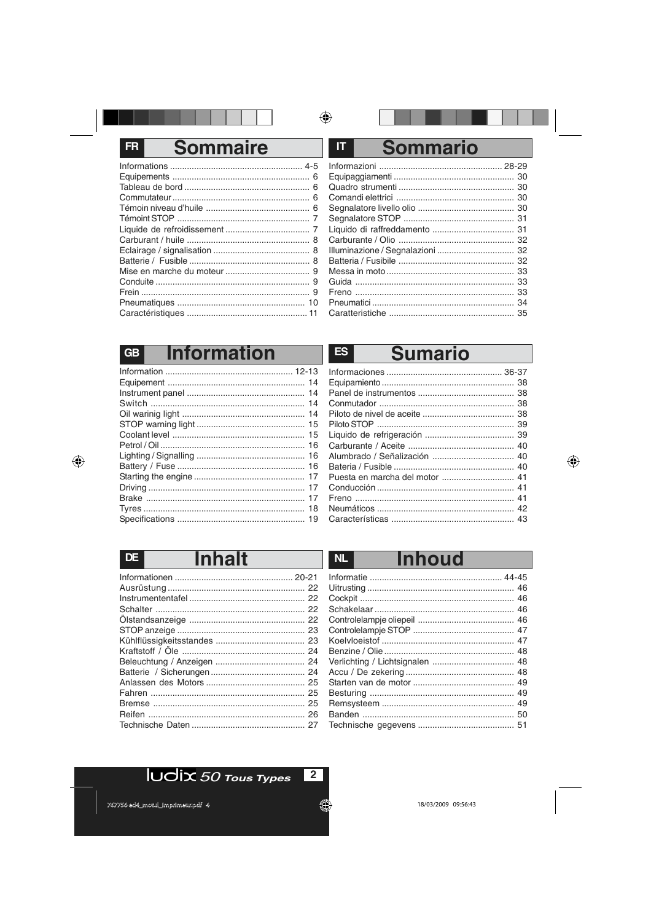#### **Sommaire**  $FR$

### **Sommario**  $\mathsf{I}\mathsf{T}$

| Illuminazione / Segnalazioni  32 |  |
|----------------------------------|--|
|                                  |  |
|                                  |  |
|                                  |  |
|                                  |  |
|                                  |  |
|                                  |  |

#### **Information**  $GB$

#### **Sumario**  $ES$

## $DE$

## **Inhalt**

## **Inhoud**

 $\overline{\text{NL}}$ 

 $I$ U $O$ İ $X$  50 Tous Types

 $\boxed{2}$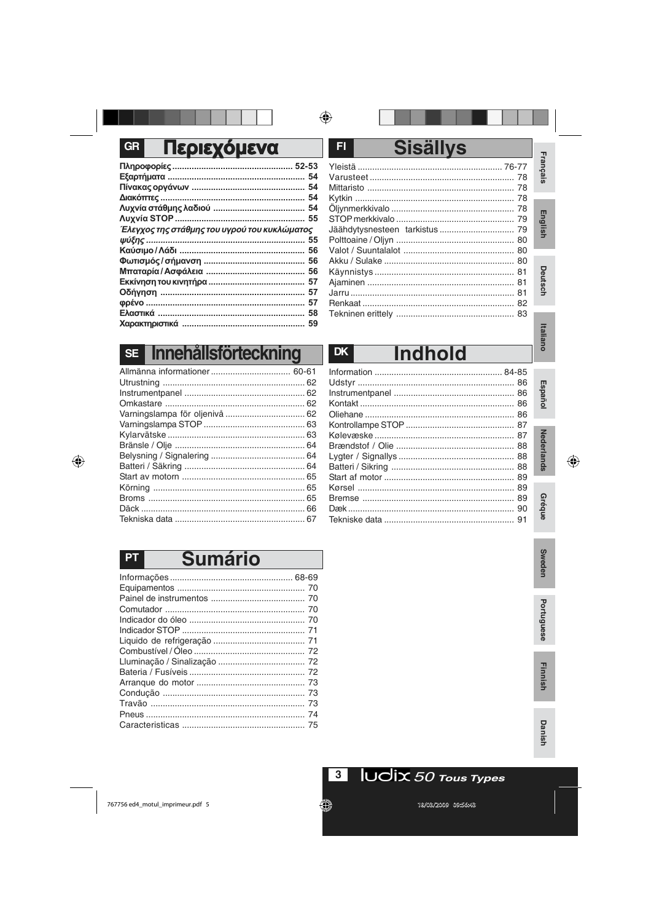#### Περιεχόμενα **GR**

|                                              | 54 |
|----------------------------------------------|----|
|                                              |    |
|                                              |    |
|                                              |    |
|                                              |    |
| Έλεγχος της στάθμης του υγρού του κυκλώματος |    |
|                                              | 55 |
|                                              |    |
|                                              |    |
|                                              |    |
|                                              |    |
|                                              |    |
|                                              |    |
|                                              |    |
|                                              |    |

| <b>Sisällys</b><br>FI          |          |
|--------------------------------|----------|
|                                | Français |
| Jäähdytysnesteen tarkistus  79 | Englist  |
|                                | Deutsch  |
|                                |          |

#### Innehållsförteckning **SE**

#### Indhold DK

|  | Españo     |
|--|------------|
|  |            |
|  |            |
|  |            |
|  |            |
|  |            |
|  | Nederlands |
|  |            |
|  |            |
|  |            |
|  |            |
|  | Gréque     |
|  |            |
|  |            |

## **PT**

## **Sumário**

Danish

 $\overline{3}$ 

# **Français**

Italiano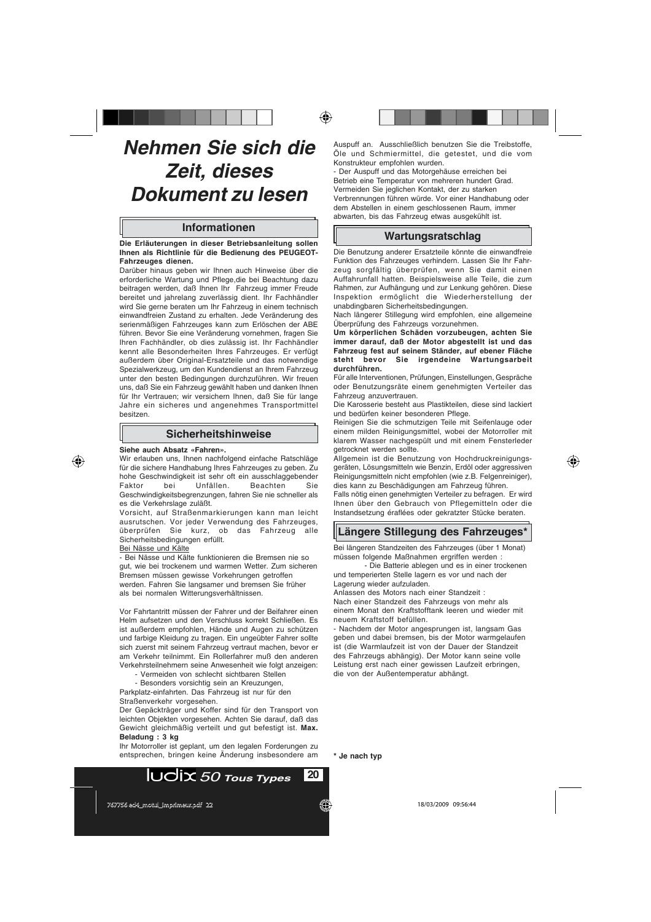## *Nehmen Sie sich die Zeit, dieses Dokument zu lesen*

### **Informationen**

#### **Die Erläuterungen in dieser Betriebsanleitung sollen Ihnen als Richtlinie für die Bedienung des PEUGEOT-Fahrzeuges dienen.**

Darüber hinaus geben wir Ihnen auch Hinweise über die erforderliche Wartung und Pflege,die bei Beachtung dazu beitragen werden, daß Ihnen Ihr Fahrzeug immer Freude bereitet und jahrelang zuverlässig dient. Ihr Fachhändler wird Sie gerne beraten um Ihr Fahrzeug in einem technisch einwandfreien Zustand zu erhalten. Jede Veränderung des serienmäßigen Fahrzeuges kann zum Erlöschen der ABE führen. Bevor Sie eine Veränderung vornehmen, fragen Sie Ihren Fachhändler, ob dies zulässig ist. Ihr Fachhändler kennt alle Besonderheiten Ihres Fahrzeuges. Er verfügt außerdem über Original-Ersatzteile und das notwendige Spezialwerkzeug, um den Kundendienst an Ihrem Fahrzeug unter den besten Bedingungen durchzuführen. Wir freuen uns, daß Sie ein Fahrzeug gewählt haben und danken Ihnen für Ihr Vertrauen; wir versichern Ihnen, daß Sie für lange Jahre ein sicheres und angenehmes Transportmittel besitzen.

#### **Sicherheitshinweise**

#### **Siehe auch Absatz «Fahren».**

Wir erlauben uns, Ihnen nachfolgend einfache Ratschläge für die sichere Handhabung Ihres Fahrzeuges zu geben. Zu hohe Geschwindigkeit ist sehr oft ein ausschlaggebender<br>Faktor bei Unfällen. Beachten Sie bei Unfällen. Beachten Geschwindigkeitsbegrenzungen, fahren Sie nie schneller als es die Verkehrslage zuläßt.

Vorsicht, auf Straßenmarkierungen kann man leicht ausrutschen. Vor jeder Verwendung des Fahrzeuges, überprüfen Sie kurz, ob das Fahrzeug alle Sicherheitsbedingungen erfüllt.

#### Bei Nässe und Kälte

- Bei Nässe und Kälte funktionieren die Bremsen nie so gut, wie bei trockenem und warmen Wetter. Zum sicheren Bremsen müssen gewisse Vorkehrungen getroffen werden. Fahren Sie langsamer und bremsen Sie früher als bei normalen Witterungsverhältnissen.

Vor Fahrtantritt müssen der Fahrer und der Beifahrer einen Helm aufsetzen und den Verschluss korrekt Schließen. Es ist außerdem empfohlen, Hände und Augen zu schützen und farbige Kleidung zu tragen. Ein ungeübter Fahrer sollte sich zuerst mit seinem Fahrzeug vertraut machen, bevor er am Verkehr teilnimmt. Ein Rollerfahrer muß den anderen Verkehrsteilnehmern seine Anwesenheit wie folgt anzeigen:

- Vermeiden von schlecht sichtbaren Stellen
- Besonders vorsichtig sein an Kreuzungen,

Parkplatz-einfahrten. Das Fahrzeug ist nur für den Straßenverkehr vorgesehen.

Der Gepäckträger und Koffer sind für den Transport von leichten Objekten vorgesehen. Achten Sie darauf, daß das Gewicht gleichmäßig verteilt und gut befestigt ist. **Max. Beladung : 3 kg**

Ihr Motorroller ist geplant, um den legalen Forderungen zu entsprechen, bringen keine Änderung insbesondere am

*50 Tous Types* **<sup>20</sup>**

Auspuff an. Ausschließlich benutzen Sie die Treibstoffe, Öle und Schmiermittel, die getestet, und die vom Konstrukteur empfohlen wurden.

- Der Auspuff und das Motorgehäuse erreichen bei Betrieb eine Temperatur von mehreren hundert Grad. Vermeiden Sie jeglichen Kontakt, der zu starken Verbrennungen führen würde. Vor einer Handhabung oder dem Abstellen in einem geschlossenen Raum, immer abwarten, bis das Fahrzeug etwas ausgekühlt ist.

#### **Wartungsratschlag**

Die Benutzung anderer Ersatzteile könnte die einwandfreie Funktion des Fahrzeuges verhindern. Lassen Sie Ihr Fahrzeug sorgfältig überprüfen, wenn Sie damit einen Auffahrunfall hatten. Beispielsweise alle Teile, die zum Rahmen, zur Aufhängung und zur Lenkung gehören. Diese Inspektion ermöglicht die Wiederherstellung der unabdingbaren Sicherheitsbedingungen.

Nach längerer Stillegung wird empfohlen, eine allgemeine Überprüfung des Fahrzeugs vorzunehmen.

**Um körperlichen Schäden vorzubeugen, achten Sie immer darauf, daß der Motor abgestellt ist und das Fahrzeug fest auf seinem Ständer, auf ebener Fläche steht bevor Sie irgendeine Wartungsarbeit durchführen.**

Für alle Interventionen, Prüfungen, Einstellungen, Gespräche oder Benutzungsräte einem genehmigten Verteiler das Fahrzeug anzuvertrauen.

Die Karosserie besteht aus Plastikteilen, diese sind lackiert und bedürfen keiner besonderen Pflege.

Reinigen Sie die schmutzigen Teile mit Seifenlauge oder einem milden Reinigungsmittel, wobei der Motorroller mit klarem Wasser nachgespült und mit einem Fensterleder getrocknet werden sollte.

Allgemein ist die Benutzung von Hochdruckreinigungsgeräten, Lösungsmitteln wie Benzin, Erdöl oder aggressiven Reinigungsmitteln nicht empfohlen (wie z.B. Felgenreiniger), dies kann zu Beschädigungen am Fahrzeug führen.

Falls nötig einen genehmigten Verteiler zu befragen. Er wird Ihnen über den Gebrauch von Pflegemitteln oder die Instandsetzung éraflées oder gekratzter Stücke beraten.

## **Längere Stillegung des Fahrzeuges\***

Bei längeren Standzeiten des Fahrzeuges (über 1 Monat) müssen folgende Maßnahmen ergriffen werden :

- Die Batterie ablegen und es in einer trockenen und temperierten Stelle lagern es vor und nach der Lagerung wieder aufzuladen.

Anlassen des Motors nach einer Standzeit :

Nach einer Standzeit des Fahrzeugs von mehr als einem Monat den Kraftstofftank leeren und wieder mit neuem Kraftstoff befüllen.

- Nachdem der Motor angesprungen ist, langsam Gas geben und dabei bremsen, bis der Motor warmgelaufen ist (die Warmlaufzeit ist von der Dauer der Standzeit des Fahrzeugs abhängig). Der Motor kann seine volle Leistung erst nach einer gewissen Laufzeit erbringen, die von der Außentemperatur abhängt.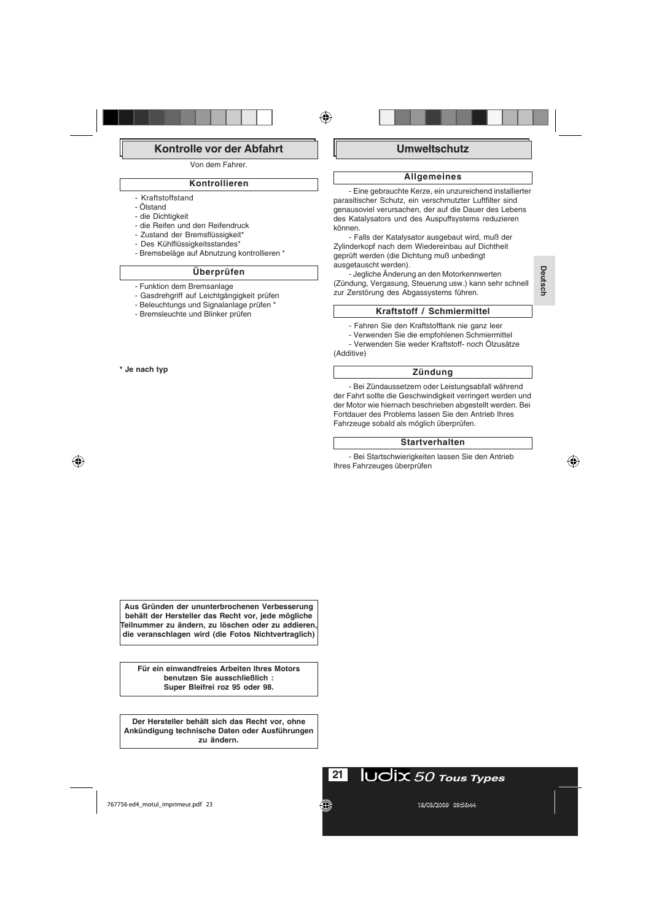## **Kontrolle vor der Abfahrt**

Von dem Fahrer.

#### **Kontrollieren**

- Kraftstoffstand
- Ölstand
- die Dichtigkeit
- die Reifen und den Reifendruck
- Zustand der Bremsflüssigkeit\*
- Des Kühlflüssigkeitsstandes\*
- Bremsbeläge auf Abnutzung kontrollieren \*

#### **Überprüfen**

- Funktion dem Bremsanlage
- Gasdrehgriff auf Leichtgängigkeit prüfen
- Beleuchtungs und Signalanlage prüfen \*
- Bremsleuchte und Blinker prüfen

**\* Je nach typ**

#### **Umweltschutz**

#### **Allgemeines**

- Eine gebrauchte Kerze, ein unzureichend installierter parasitischer Schutz, ein verschmutzter Luftfilter sind genausoviel verursachen, der auf die Dauer des Lebens des Katalysators und des Auspuffsystems reduzieren können.

- Falls der Katalysator ausgebaut wird, muß der Zylinderkopf nach dem Wiedereinbau auf Dichtheit geprüft werden (die Dichtung muß unbedingt ausgetauscht werden).

- Jegliche Änderung an den Motorkennwerten (Zündung, Vergasung, Steuerung usw.) kann sehr schnell zur Zerstörung des Abgassystems führen.

#### **Kraftstoff / Schmiermittel**

- Fahren Sie den Kraftstofftank nie ganz leer
- Verwenden Sie die empfohlenen Schmiermittel

- Verwenden Sie weder Kraftstoff- noch Ölzusätze (Additive)

#### **Zündung**

- Bei Zündaussetzern oder Leistungsabfall während der Fahrt sollte die Geschwindigkeit verringert werden und der Motor wie hiernach beschrieben abgestellt werden. Bei Fortdauer des Problems lassen Sie den Antrieb Ihres Fahrzeuge sobald als möglich überprüfen.

#### **Startverhalten**

- Bei Startschwierigkeiten lassen Sie den Antrieb Ihres Fahrzeuges überprüfen

**Aus Gründen der ununterbrochenen Verbesserung behält der Hersteller das Recht vor, jede mögliche Teilnummer zu ändern, zu löschen oder zu addieren, die veranschlagen wird (die Fotos Nichtvertraglich)**

**Für ein einwandfreies Arbeiten Ihres Motors benutzen Sie ausschließlich : Super Bleifrei roz 95 oder 98.**

**Der Hersteller behält sich das Recht vor, ohne Ankündigung technische Daten oder Ausführungen zu ändern.**

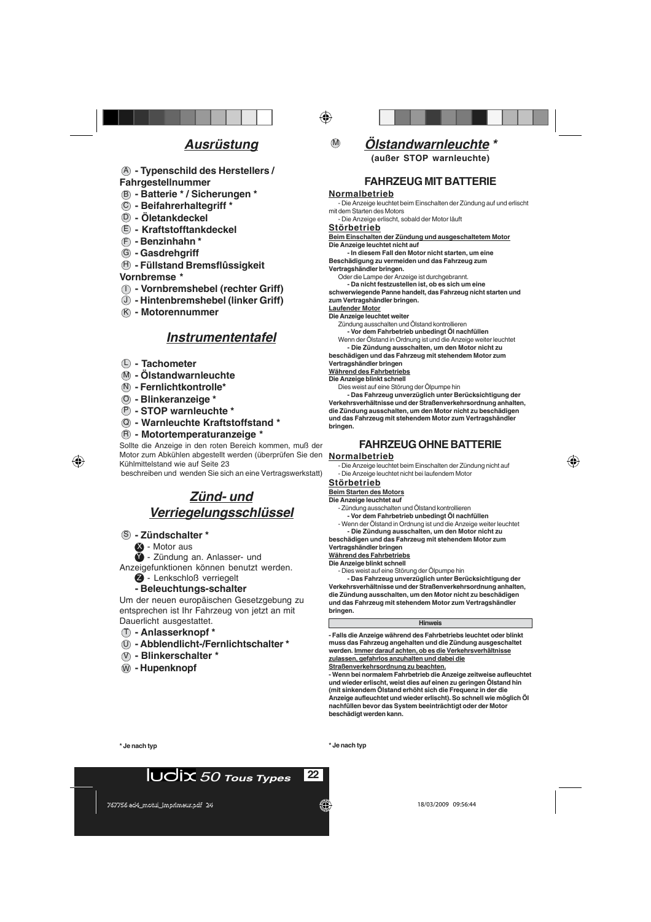## *Ausrüstung* <sup>M</sup>

#### A **- Typenschild des Herstellers / Fahrgestellnummer**

- B  **Batterie \* / Sicherungen \***
- C  **Beifahrerhaltegriff \***
- D  **Öletankdeckel**
- E  **Kraftstofftankdeckel**
- F  **Benzinhahn \***
- G  **Gasdrehgriff**

H **- Füllstand Bremsflûssigkeit**

### **Vornbremse \***

- I  **Vornbremshebel (rechter Griff)**
- J  **Hintenbremshebel (linker Griff)**
- K  **Motorennummer**

## *Instrumententafel*

- L  **Tachometer**
- M  **Ölstandwarnleuchte**
- N  **Fernlichtkontrolle\***
- O  **Blinkeranzeige \***
- P  **STOP warnleuchte \***
- Q  **Warnleuchte Kraftstoffstand \***
- R  **Motortemperaturanzeige \***

Sollte die Anzeige in den roten Bereich kommen, muß der Motor zum Abkühlen abgestellt werden (überprüfen Sie den Kühlmittelstand wie auf Seite 23

beschreiben und wenden Sie sich an eine Vertragswerkstatt)

## *Zünd- und Verriegelungsschlüssel*

## S **- Zündschalter \***

- X Motor aus
- Y Zündung an. Anlasser- und

Anzeigefunktionen können benutzt werden.

2 - Lenkschloß verriegelt

#### **- Beleuchtungs-schalter**

Um der neuen europäischen Gesetzgebung zu entsprechen ist Ihr Fahrzeug von jetzt an mit Dauerlicht ausgestattet.

#### T **- Anlasserknopf \***

- U  **Abblendlicht-/Fernlichtschalter \***
- V  **Blinkerschalter \***
- W  **Hupenknopf**

## *Ölstandwarnleuchte \**

**(außer STOP warnleuchte)**

## **FAHRZEUG MIT BATTERIE**

#### **Normalbetrieb**

- Die Anzeige leuchtet beim Einschalten der Zündung auf und erlischt mit dem Starten des Motors

- Die Anzeige erlischt, sobald der Motor läuft

#### **Störbetrieb**

**Beim Einschalten der Zündung und ausgeschaltetem Motor Die Anzeige leuchtet nicht auf**

**- In diesem Fall den Motor nicht starten, um eine Beschädigung zu vermeiden und das Fahrzeug zum Vertragshändler bringen.**

Oder die Lampe der Anzeige ist durchgebrannt.

**- Da nicht festzustellen ist, ob es sich um eine**

**schwerwiegende Panne handelt, das Fahrzeug nicht starten und zum Vertragshändler bringen.**

#### **Laufender Motor Die Anzeige leuchtet weiter**

Zündung ausschalten und Ölstand kontrollieren

- **Vor dem Fahrbetrieb unbedingt Öl nachfüllen**
- Wenn der Ölstand in Ordnung ist und die Anzeige weiter leuchtet **- Die Zündung ausschalten, um den Motor nicht zu**

**beschädigen und das Fahrzeug mit stehendem Motor zum Vertragshändler bringen**

#### **Während des Fahrbetriebs**

**Die Anzeige blinkt schnell**

Dies weist auf eine Störung der Ölpumpe hin

**- Das Fahrzeug unverzüglich unter Berücksichtigung der Verkehrsverhältnisse und der Straßenverkehrsordnung anhalten, die Zündung ausschalten, um den Motor nicht zu beschädigen und das Fahrzeug mit stehendem Motor zum Vertragshändler bringen.**

## **FAHRZEUG OHNE BATTERIE**

#### **Normalbetrieb**

- Die Anzeige leuchtet beim Einschalten der Zündung nicht auf
- Die Anzeige leuchtet nicht bei laufendem Motor

#### **Störbetrieb**

**Beim Starten des Motors**

#### **Die Anzeige leuchtet auf**

- Zündung ausschalten und Ölstand kontrollieren **- Vor dem Fahrbetrieb unbedingt Öl nachfüllen**
- Wenn der Ölstand in Ordnung ist und die Anzeige weiter leuchtet **- Die Zündung ausschalten, um den Motor nicht zu**

**beschädigen und das Fahrzeug mit stehendem Motor zum Vertragshändler bringen**

#### **Während des Fahrbetriebs**

**Die Anzeige blinkt schnell**

- Dies weist auf eine Störung der Ölpumpe hin

**- Das Fahrzeug unverzüglich unter Berücksichtigung der Verkehrsverhältnisse und der Straßenverkehrsordnung anhalten, die Zündung ausschalten, um den Motor nicht zu beschädigen und das Fahrzeug mit stehendem Motor zum Vertragshändler bringen.**

**Hinweis**

**- Falls die Anzeige während des Fahrbetriebs leuchtet oder blinkt muss das Fahrzeug angehalten und die Zündung ausgeschaltet werden. Immer darauf achten, ob es die Verkehrsverhältnisse zulassen, gefahrlos anzuhalten und dabei die Straßenverkehrsordnung zu beachten.**

**- Wenn bei normalem Fahrbetrieb die Anzeige zeitweise aufleuchtet und wieder erlischt, weist dies auf einen zu geringen Ölstand hin (mit sinkendem Ölstand erhöht sich die Frequenz in der die Anzeige aufleuchtet und wieder erlischt). So schnell wie möglich Öl nachfüllen bevor das System beeinträchtigt oder der Motor beschädigt werden kann.**

**\* Je nach typ**

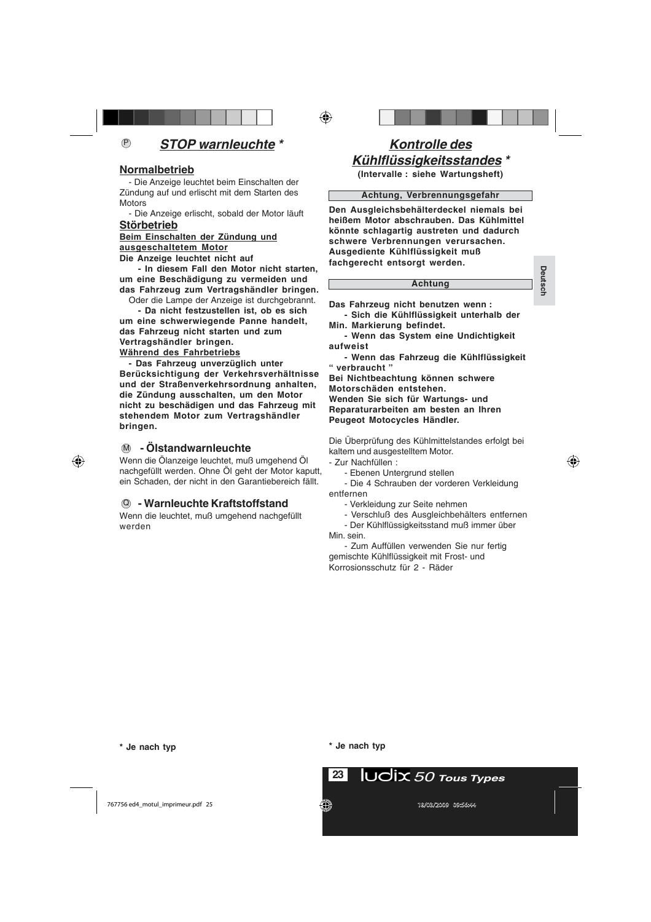$(P)$ *STOP warnleuchte \**

#### **Normalbetrieb**

- Die Anzeige leuchtet beim Einschalten der Zündung auf und erlischt mit dem Starten des **Motors** 

- Die Anzeige erlischt, sobald der Motor läuft **Störbetrieb**

**Beim Einschalten der Zündung und ausgeschaltetem Motor**

**Die Anzeige leuchtet nicht auf - In diesem Fall den Motor nicht starten, um eine Beschädigung zu vermeiden und das Fahrzeug zum Vertragshändler bringen.**

Oder die Lampe der Anzeige ist durchgebrannt.

**- Da nicht festzustellen ist, ob es sich um eine schwerwiegende Panne handelt, das Fahrzeug nicht starten und zum Vertragshändler bringen.**

**Während des Fahrbetriebs**

**- Das Fahrzeug unverzüglich unter Berücksichtigung der Verkehrsverhältnisse und der Straßenverkehrsordnung anhalten, die Zündung ausschalten, um den Motor nicht zu beschädigen und das Fahrzeug mit stehendem Motor zum Vertragshändler bringen.**

## M **- Ölstandwarnleuchte**

Wenn die Ölanzeige leuchtet, muß umgehend Öl nachgefüllt werden. Ohne Öl geht der Motor kaputt, ein Schaden, der nicht in den Garantiebereich fällt.

## Q **- Warnleuchte Kraftstoffstand**

Wenn die leuchtet, muß umgehend nachgefüllt werden

## *Kontrolle des Kühlflüssigkeitsstandes \**

**(Intervalle : siehe Wartungsheft)**

#### **Achtung, Verbrennungsgefahr**

**Den Ausgleichsbehälterdeckel niemals bei heißem Motor abschrauben. Das Kühlmittel könnte schlagartig austreten und dadurch schwere Verbrennungen verursachen. Ausgediente Kühlflüssigkeit muß fachgerecht entsorgt werden.**

#### **Achtung**

**Das Fahrzeug nicht benutzen wenn :**

**- Sich die Kühlflüssigkeit unterhalb der Min. Markierung befindet.**

**- Wenn das System eine Undichtigkeit aufweist**

**- Wenn das Fahrzeug die Kühlflüssigkeit " verbraucht "**

**Bei Nichtbeachtung können schwere Motorschäden entstehen. Wenden Sie sich für Wartungs- und**

**Reparaturarbeiten am besten an Ihren Peugeot Motocycles Händler.**

Die Überprüfung des Kühlmittelstandes erfolgt bei kaltem und ausgestelltem Motor.

- Zur Nachfüllen :

- Ebenen Untergrund stellen

- Die 4 Schrauben der vorderen Verkleidung entfernen

- Verkleidung zur Seite nehmen

- Verschluß des Ausgleichbehälters entfernen

- Der Kühlflüssigkeitsstand muß immer über

Min. sein.

- Zum Auffüllen verwenden Sie nur fertig gemischte Kühlflüssigkeit mit Frost- und Korrosionsschutz für 2 - Räder

**\* Je nach typ**

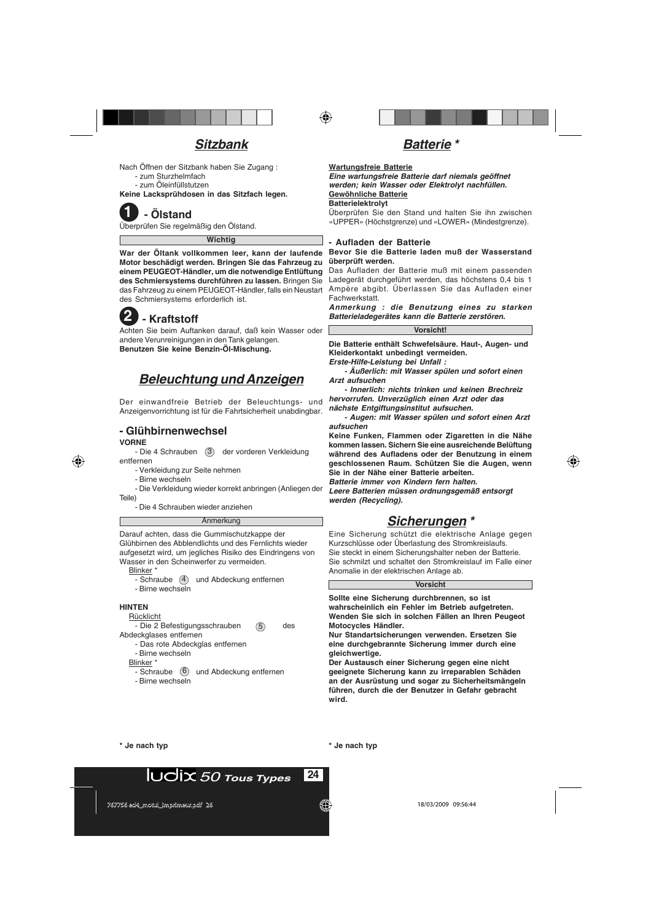## *Sitzbank*

Nach Öffnen der Sitzbank haben Sie Zugang :

- zum Sturzhelmfach

- zum Öleinfüllstutzen

**Keine Lacksprühdosen in das Sitzfach legen.**



Überprüfen Sie regelmäßig den Ölstand.

#### **Wichtig**

**War der Öltank vollkommen leer, kann der laufende Motor beschädigt werden. Bringen Sie das Fahrzeug zu einem PEUGEOT-Händler, um die notwendige Entlüftung des Schmiersystems durchführen zu lassen.** Bringen Sie das Fahrzeug zu einem PEUGEOT-Händler, falls ein Neustart des Schmiersystems erforderlich ist.

#### **2 - Kraftstoff**

Achten Sie beim Auftanken darauf, daß kein Wasser oder andere Verunreinigungen in den Tank gelangen.

**Benutzen Sie keine Benzin-Öl-Mischung.**

## *Beleuchtung und Anzeigen*

Der einwandfreie Betrieb der Beleuchtungs- und Anzeigenvorrichtung ist für die Fahrtsicherheit unabdingbar.

#### **- Glühbirnenwechsel**

#### **VORNE**

- Die 4 Schrauben (3) der vorderen Verkleidung entfernen

- Verkleidung zur Seite nehmen

- Birne wechseln

- Die Verkleidung wieder korrekt anbringen (Anliegen der

Teile)

- Die 4 Schrauben wieder anziehen

#### Anmerkung

Darauf achten, dass die Gummischutzkappe der Glühbirnen des Abblendlichts und des Fernlichts wieder aufgesetzt wird, um jegliches Risiko des Eindringens von Wasser in den Scheinwerfer zu vermeiden.

Blinker \*

- Schraube (4) und Abdeckung entfernen

- Birne wechseln

#### **HINTEN**

**Rücklicht** 

5 - Die 2 Befestigungsschrauben (5) des Abdeckglases entfernen

- Das rote Abdeckglas entfernen

- Birne wechseln

Blinker<sup>'</sup>

- Schraube (6) und Abdeckung entfernen

*50 Tous Types* **<sup>24</sup>**

- Birne wechseln



#### **Wartungsfreie Batterie**

*Eine wartungsfreie Batterie darf niemals geöffnet werden; kein Wasser oder Elektrolyt nachfüllen.* **Gewöhnliche Batterie Batterielektrolyt**

Überprüfen Sie den Stand und halten Sie ihn zwischen «UPPER» (Höchstgrenze) und «LOWER» (Mindestgrenze).

#### **- Aufladen der Batterie**

#### **Bevor Sie die Batterie laden muß der Wasserstand überprüft werden.**

Das Aufladen der Batterie muß mit einem passenden Ladegerät durchgeführt werden, das höchstens 0,4 bis 1 Ampère abgibt. Überlassen Sie das Aufladen einer Fachwerkstatt.

*Anmerkung : die Benutzung eines zu starken Batterieladegerätes kann die Batterie zerstören.*

**Vorsicht!**

**Die Batterie enthält Schwefelsäure. Haut-, Augen- und Kleiderkontakt unbedingt vermeiden.**

*Erste-Hilfe-Leistung bei Unfall :*

*- Äußerlich: mit Wasser spülen und sofort einen Arzt aufsuchen*

*- Innerlich: nichts trinken und keinen Brechreiz hervorrufen. Unverzüglich einen Arzt oder das nächste Entgiftungsinstitut aufsuchen.*

*- Augen: mit Wasser spülen und sofort einen Arzt aufsuchen*

**Keine Funken, Flammen oder Zigaretten in die Nähe kommen lassen. Sichern Sie eine ausreichende Belüftung während des Aufladens oder der Benutzung in einem geschlossenen Raum. Schützen Sie die Augen, wenn Sie in der Nähe einer Batterie arbeiten.**

*Batterie immer von Kindern fern halten.*

*Leere Batterien müssen ordnungsgemäß entsorgt werden (Recycling).*

## *Sicherungen \**

Eine Sicherung schützt die elektrische Anlage gegen Kurzschlüsse oder Überlastung des Stromkreislaufs. Sie steckt in einem Sicherungshalter neben der Batterie. Sie schmilzt und schaltet den Stromkreislauf im Falle einer Anomalie in der elektrischen Anlage ab.

#### **Vorsicht**

**Sollte eine Sicherung durchbrennen, so ist wahrscheinlich ein Fehler im Betrieb aufgetreten. Wenden Sie sich in solchen Fällen an Ihren Peugeot Motocycles Händler.**

**Nur Standartsicherungen verwenden. Ersetzen Sie eine durchgebrannte Sicherung immer durch eine gleichwertige.**

**Der Austausch einer Sicherung gegen eine nicht geeignete Sicherung kann zu irreparablen Schäden an der Ausrüstung und sogar zu Sicherheitsmängeln führen, durch die der Benutzer in Gefahr gebracht wird.**

**\* Je nach typ**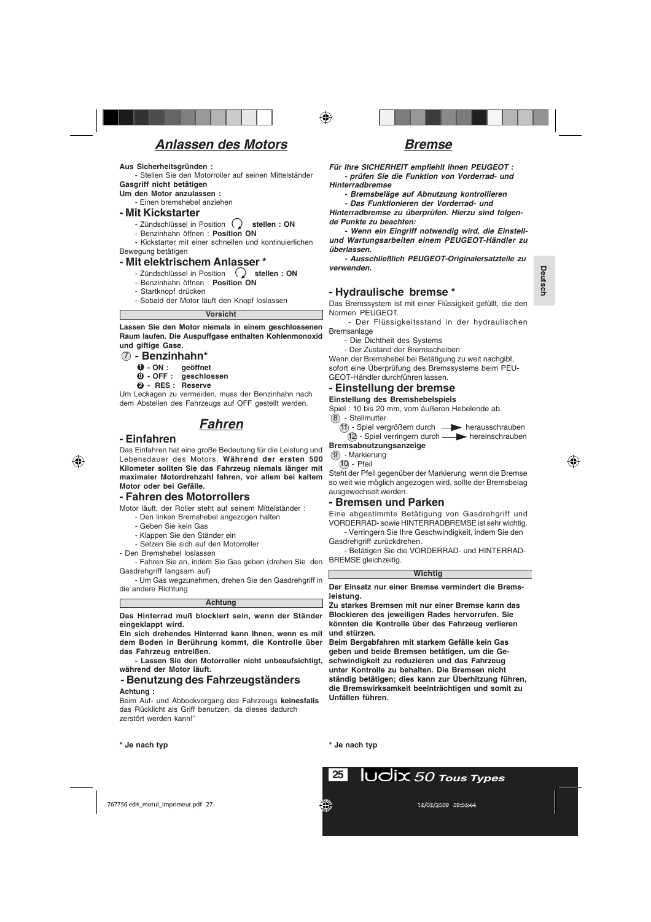## *Anlassen des Motors*

#### **Aus Sicherheitsgründen :**

- Stellen Sie den Motorroller auf seinen Mittelständer **Gasgriff nicht betätigen**

#### **Um den Motor anzulassen :**

- Einen bremshebel anziehen

#### **- Mit Kickstarter**

- Zündschlüssel in Position () stellen : ON
- Benzinhahn öffnen : **Position ON**

- Kickstarter mit einer schnellen und kontinuierlichen Bewegung betätigen

#### **- Mit elektrischem Anlasser \***

- Zündschlüssel in Position  $\langle \rangle$  stellen : ON
- Benzinhahn öffnen : **Position ON**
- Startknopf drücken
- Sobald der Motor läuft den Knopf loslassen

#### **Vorsicht**

**Lassen Sie den Motor niemals in einem geschlossenen Raum laufen. Die Auspuffgase enthalten Kohlenmonoxid und giftige Gase.**

#### 7 **- Benzinhahn\***

- **1 ON : geöffnet**
- **0 OFF : geschlossen**
- **2 RES : Reserve**

Um Leckagen zu vermeiden, muss der Benzinhahn nach dem Abstellen des Fahrzeugs auf OFF gestellt werden.

## *Fahren*

#### **- Einfahren**

Das Einfahren hat eine große Bedeutung für die Leistung und Lebensdauer des Motors. **Während der ersten 500 Kilometer sollten Sie das Fahrzeug niemals länger mit maximaler Motordrehzahl fahren, vor allem bei kaltem Motor oder bei Gefälle.**

#### **- Fahren des Motorrollers**

Motor läuft, der Roller steht auf seinem Mittelständer :

- Den linken Bremshebel angezogen halten
- Geben Sie kein Gas
- Klappen Sie den Ständer ein
- Setzen Sie sich auf den Motorroller

- Den Bremshebel loslassen

- Fahren Sie an, indem Sie Gas geben (drehen Sie den Gasdrehgriff langsam auf)

- Um Gas wegzunehmen, drehen Sie den Gasdrehgriff in die andere Richtung

#### **Achtung**

**Das Hinterrad muß blockiert sein, wenn der Ständer eingeklappt wird.**

**Ein sich drehendes Hinterrad kann Ihnen, wenn es mit dem Boden in Berührung kommt, die Kontrolle über das Fahrzeug entreißen.**

**- Lassen Sie den Motorroller nicht unbeaufsichtigt, während der Motor läuft.**

#### **- Benutzung des Fahrzeugständers Achtung :**

Beim Auf- und Abbockvorgang des Fahrzeugs **keinesfalls** das Rücklicht als Griff benutzen, da dieses dadurch zerstört werden kann!''

## *Bremse*

*Für Ihre SICHERHEIT empfiehlt Ihnen PEUGEOT :*

*- prüfen Sie die Funktion von Vorderrad- und Hinterradbremse*

*- Bremsbeläge auf Abnutzung kontrollieren*

*- Das Funktionieren der Vorderrad- und*

*Hinterradbremse zu überprüfen. Hierzu sind folgende Punkte zu beachten:*

*- Wenn ein Eingriff notwendig wird, die Einstellund Wartungsarbeiten einem PEUGEOT-Händler zu überlassen.*

*- Ausschließlich PEUGEOT-Originalersatzteile zu verwenden.*

#### **- Hydraulische bremse \***

Das Bremssystem ist mit einer Flüssigkeit gefüllt, die den Normen PEUGEOT.

 - Der Flüssigkeitsstand in der hydraulischen **Bremsanlage** 

- Die Dichtheit des Systems
- Der Zustand der Bremsscheiben

Wenn der Bremshebel bei Betätigung zu weit nachgibt, sofort eine Überprüfung des Bremssystems beim PEU-GEOT-Händler durchführen lassen.

#### **- Einstellung der bremse**

#### **Einstellung des Bremshebelspiels**

Spiel : 10 bis 20 mm, vom äußeren Hebelende ab.

- 8 Stellmutter
- (11) Spiel vergrößern durch  $\longrightarrow$  herausschrauben (12) - Spiel verringern durch **belangen bereinschrauben**
- **Bremsabnutzungsanzeige**
- 9 Markierung

10 - Pfeil

Steht der Pfeil gegenüber der Markierung wenn die Bremse so weit wie möglich angezogen wird, sollte der Bremsbelag ausgewechselt werden.

#### **- Bremsen und Parken**

Eine abgestimmte Betätigung von Gasdrehgriff und VORDERRAD- sowie HINTERRADBREMSE ist sehr wichtig.

- Verringern Sie Ihre Geschwindigkeit, indem Sie den Gasdrehgriff zurückdrehen.

- Betätigen Sie die VORDERRAD- und HINTERRAD-BREMSE gleichzeitig.

#### **Wichtig**

**Der Einsatz nur einer Bremse vermindert die Bremsleistung.**

**Zu starkes Bremsen mit nur einer Bremse kann das Blockieren des jeweiligen Rades hervorrufen. Sie könnten die Kontrolle über das Fahrzeug verlieren und stürzen.**

**Beim Bergabfahren mit starkem Gefälle kein Gas geben und beide Bremsen betätigen, um die Geschwindigkeit zu reduzieren und das Fahrzeug unter Kontrolle zu behalten. Die Bremsen nicht ständig betätigen; dies kann zur Überhitzung führen, die Bremswirksamkeit beeinträchtigen und somit zu Unfällen führen.**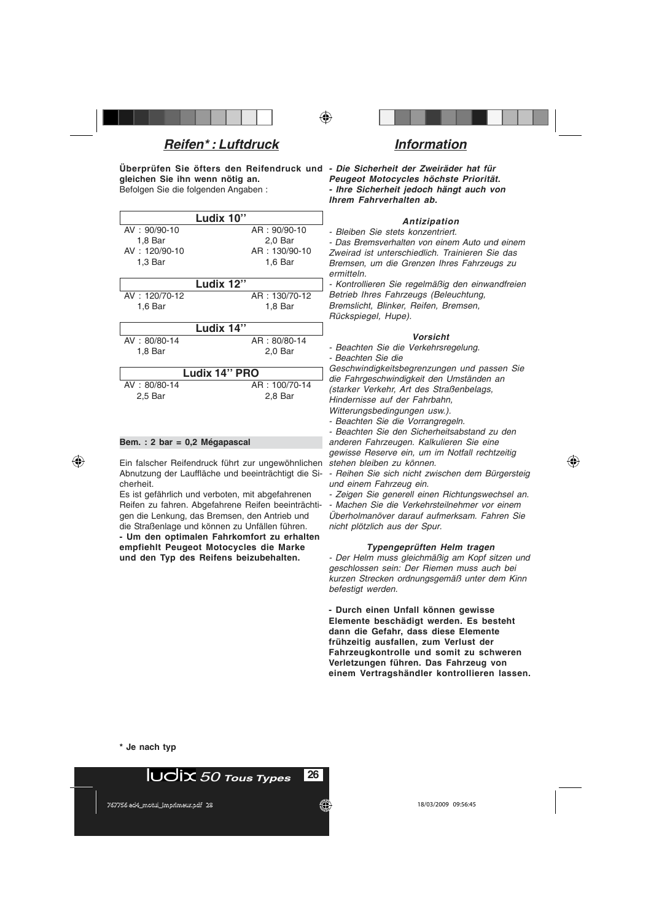## *Reifen\* : Luftdruck*

#### **Überprüfen Sie öfters den Reifendruck und** *- Die Sicherheit der Zweiräder hat für* **gleichen Sie ihn wenn nötig an.**

Befolgen Sie die folgenden Angaben :

| Ludix 10"                    |               |              |
|------------------------------|---------------|--------------|
| AV: 90/90-10                 | AR: 90/90-10  | - Ble        |
| 1,8 Bar                      | 2,0 Bar       | - Da         |
| AV: 120/90-10                | AR: 130/90-10 | <b>Zwe</b>   |
| 1,3 Bar                      | 1,6 Bar       | Bren         |
|                              |               | ermi         |
| Ludix 12"                    |               | - Ко         |
| AV: 120/70-12                | AR: 130/70-12 | Betr         |
| 1,6 Bar                      | 1,8 Bar       | Brer         |
|                              |               | Rüci         |
| Ludix 14"                    |               |              |
| AV: 80/80-14                 | AR: 80/80-14  |              |
| 1,8 Bar                      | 2,0 Bar       | - Be         |
|                              |               | - Be         |
| Ludix 14" PRO                |               | Ges<br>die I |
| AV: 80/80-14                 | AR: 100/70-14 | (stai        |
| 2,5 Bar                      | 2,8 Bar       | Hina         |
|                              |               | Witte        |
|                              |               | - Be         |
|                              |               | - Be         |
| Bem.: 2 bar = 0,2 Mégapascal |               | ande         |
|                              |               |              |

Ein falscher Reifendruck führt zur ungewöhnlichen Abnutzung der Lauffläche und beeinträchtigt die Sicherheit.

Es ist gefährlich und verboten, mit abgefahrenen Reifen zu fahren. Abgefahrene Reifen beeinträchtigen die Lenkung, das Bremsen, den Antrieb und die Straßenlage und können zu Unfällen führen.

**- Um den optimalen Fahrkomfort zu erhalten empfiehlt Peugeot Motocycles die Marke und den Typ des Reifens beizubehalten.**

*50 Tous Types* **<sup>26</sup>**

## *Information*

*Peugeot Motocycles höchste Priorität. - Ihre Sicherheit jedoch hängt auch von Ihrem Fahrverhalten ab.*

#### *Antizipation*

*- Bleiben Sie stets konzentriert.*

*- Das Bremsverhalten von einem Auto und einem Zweirad ist unterschiedlich. Trainieren Sie das Bremsen, um die Grenzen Ihres Fahrzeugs zu ermitteln.*

*- Kontrollieren Sie regelmäßig den einwandfreien Betrieb Ihres Fahrzeugs (Beleuchtung, Bremslicht, Blinker, Reifen, Bremsen, Rückspiegel, Hupe).*

#### *Vorsicht*

*- Beachten Sie die Verkehrsregelung.*

*- Beachten Sie die*

*Geschwindigkeitsbegrenzungen und passen Sie die Fahrgeschwindigkeit den Umständen an (starker Verkehr, Art des Straßenbelags, Hindernisse auf der Fahrbahn, Witterungsbedingungen usw.).*

*- Beachten Sie die Vorrangregeln.*

*- Beachten Sie den Sicherheitsabstand zu den anderen Fahrzeugen. Kalkulieren Sie eine gewisse Reserve ein, um im Notfall rechtzeitig stehen bleiben zu können.*

*- Reihen Sie sich nicht zwischen dem Bürgersteig und einem Fahrzeug ein.*

*- Zeigen Sie generell einen Richtungswechsel an.*

*- Machen Sie die Verkehrsteilnehmer vor einem Überholmanöver darauf aufmerksam. Fahren Sie nicht plötzlich aus der Spur.*

#### *Typengeprüften Helm tragen*

*- Der Helm muss gleichmäßig am Kopf sitzen und geschlossen sein: Der Riemen muss auch bei kurzen Strecken ordnungsgemäß unter dem Kinn befestigt werden.*

**- Durch einen Unfall können gewisse Elemente beschädigt werden. Es besteht dann die Gefahr, dass diese Elemente frühzeitig ausfallen, zum Verlust der Fahrzeugkontrolle und somit zu schweren Verletzungen führen. Das Fahrzeug von einem Vertragshändler kontrollieren lassen.**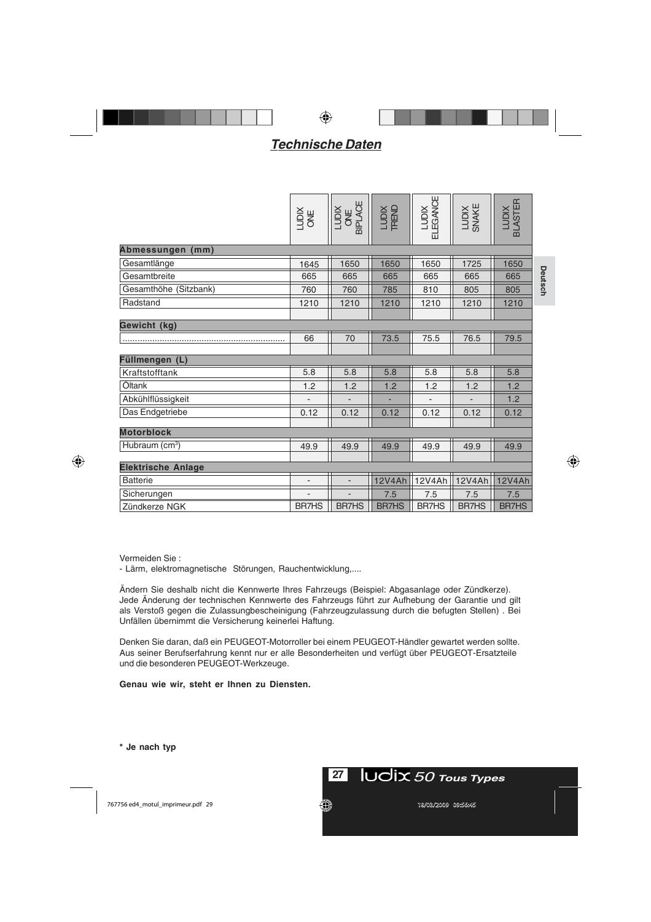## *Technische Daten*

|                            | 고이다<br>이제    | LUDIX<br>ONE<br>BIPLACE | <b>LUDIX</b><br>TREND | EGANCE<br><b>LUDIX</b><br>긂 | LUDIX<br>SNAKE | LUDIX<br>BLASTER |
|----------------------------|--------------|-------------------------|-----------------------|-----------------------------|----------------|------------------|
| Abmessungen<br>(mm)        |              |                         |                       |                             |                |                  |
| Gesamtlänge                | 1645         | 1650                    | 1650                  | 1650                        | 1725           | 1650             |
| Gesamtbreite               | 665          | 665                     | 665                   | 665                         | 665            | 665              |
| Gesamthöhe (Sitzbank)      | 760          | 760                     | 785                   | 810                         | 805            | 805              |
| Radstand                   | 1210         | 1210                    | 1210                  | 1210                        | 1210           | 1210             |
|                            |              |                         |                       |                             |                |                  |
| Gewicht (kg)               |              |                         |                       |                             |                |                  |
|                            | 66           | 70                      | 73.5                  | 75.5                        | 76.5           | 79.5             |
|                            |              |                         |                       |                             |                |                  |
| Füllmengen (L)             |              |                         |                       |                             |                |                  |
| Kraftstofftank             | 5.8          | 5.8                     | 5.8                   | 5.8                         | 5.8            | 5.8              |
| Öltank                     | 1.2          | 1.2                     | 1.2                   | 1.2                         | 1.2            | 1.2              |
| Abkühlflüssigkeit          |              |                         |                       |                             |                | 1.2              |
| Das Endgetriebe            | 0.12         | 0.12                    | 0.12                  | 0.12                        | 0.12           | 0.12             |
| <b>Motorblock</b>          |              |                         |                       |                             |                |                  |
|                            |              |                         |                       |                             |                |                  |
| Hubraum (cm <sup>3</sup> ) | 49.9         | 49.9                    | 49.9                  | 49.9                        | 49.9           | 49.9             |
| <b>Elektrische Anlage</b>  |              |                         |                       |                             |                |                  |
| <b>Batterie</b>            |              |                         | 12V4Ah                | 12V4Ah                      | 12V4Ah         | 12V4Ah           |
| Sicherungen                |              |                         | 7.5                   | 7.5                         | 7.5            | 7.5              |
| Zündkerze NGK              | <b>BR7HS</b> | <b>BR7HS</b>            | <b>BR7HS</b>          | <b>BR7HS</b>                | <b>BR7HS</b>   | <b>BR7HS</b>     |

Vermeiden Sie :

- Lärm, elektromagnetische Störungen, Rauchentwicklung,....

Ändern Sie deshalb nicht die Kennwerte Ihres Fahrzeugs (Beispiel: Abgasanlage oder Zündkerze). Jede Änderung der technischen Kennwerte des Fahrzeugs führt zur Aufhebung der Garantie und gilt als Verstoß gegen die Zulassungbescheinigung (Fahrzeugzulassung durch die befugten Stellen) . Bei Unfällen übernimmt die Versicherung keinerlei Haftung.

Denken Sie daran, daß ein PEUGEOT-Motorroller bei einem PEUGEOT-Händler gewartet werden sollte. Aus seiner Berufserfahrung kennt nur er alle Besonderheiten und verfügt über PEUGEOT-Ersatzteile und die besonderen PEUGEOT-Werkzeuge.

#### **Genau wie wir, steht er Ihnen zu Diensten.**

Deutsch **Deutsch**